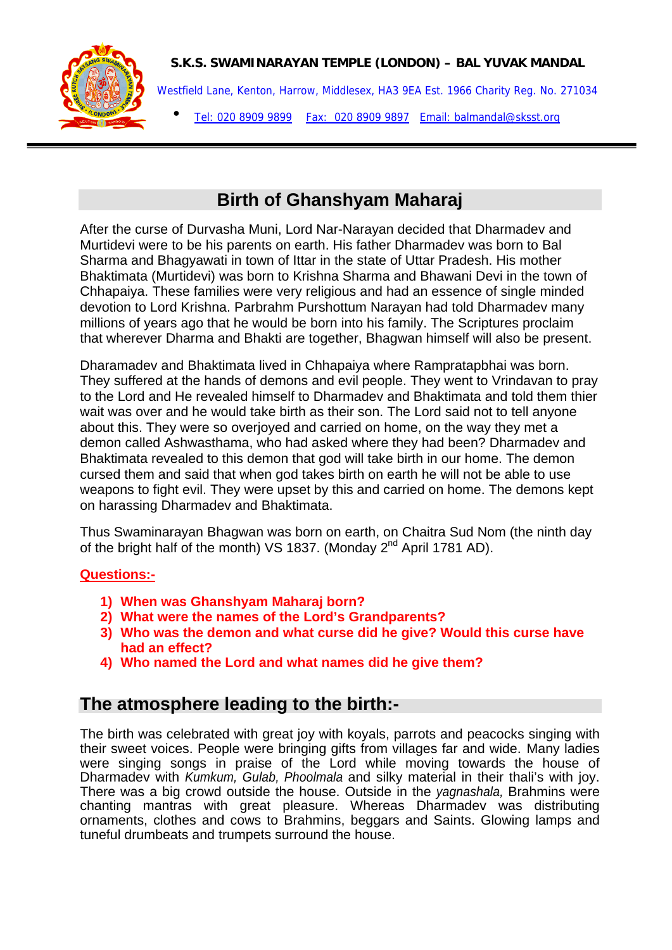

### **S.K.S. SWAMINARAYAN TEMPLE (LONDON) – BAL YUVAK MANDAL**

Westfield Lane, Kenton, Harrow, Middlesex, HA3 9EA Est. 1966 Charity Reg. No. 271034 Tel: 020 8909 9899 Fax: 020 8909 9897 Email: balmandal@sksst.org •

# **Birth of Ghanshyam Maharaj**

After the curse of Durvasha Muni, Lord Nar-Narayan decided that Dharmadev and Murtidevi were to be his parents on earth. His father Dharmadev was born to Bal Sharma and Bhagyawati in town of Ittar in the state of Uttar Pradesh. His mother Bhaktimata (Murtidevi) was born to Krishna Sharma and Bhawani Devi in the town of Chhapaiya. These families were very religious and had an essence of single minded devotion to Lord Krishna. Parbrahm Purshottum Narayan had told Dharmadev many millions of years ago that he would be born into his family. The Scriptures proclaim that wherever Dharma and Bhakti are together, Bhagwan himself will also be present.

Dharamadev and Bhaktimata lived in Chhapaiya where Rampratapbhai was born. They suffered at the hands of demons and evil people. They went to Vrindavan to pray to the Lord and He revealed himself to Dharmadev and Bhaktimata and told them thier wait was over and he would take birth as their son. The Lord said not to tell anyone about this. They were so overjoyed and carried on home, on the way they met a demon called Ashwasthama, who had asked where they had been? Dharmadev and Bhaktimata revealed to this demon that god will take birth in our home. The demon cursed them and said that when god takes birth on earth he will not be able to use weapons to fight evil. They were upset by this and carried on home. The demons kept on harassing Dharmadev and Bhaktimata.

Thus Swaminarayan Bhagwan was born on earth, on Chaitra Sud Nom (the ninth day of the bright half of the month) VS 1837. (Monday  $2^{nd}$  April 1781 AD).

## **Questions:-**

- **1) When was Ghanshyam Maharaj born?**
- **2) What were the names of the Lord's Grandparents?**
- **3) Who was the demon and what curse did he give? Would this curse have had an effect?**
- **4) Who named the Lord and what names did he give them?**

# **The atmosphere leading to the birth:-**

The birth was celebrated with great joy with koyals, parrots and peacocks singing with their sweet voices. People were bringing gifts from villages far and wide. Many ladies were singing songs in praise of the Lord while moving towards the house of Dharmadev with *Kumkum, Gulab, Phoolmala* and silky material in their thali's with joy. There was a big crowd outside the house. Outside in the *yagnashala,* Brahmins were chanting mantras with great pleasure. Whereas Dharmadev was distributing ornaments, clothes and cows to Brahmins, beggars and Saints. Glowing lamps and tuneful drumbeats and trumpets surround the house.